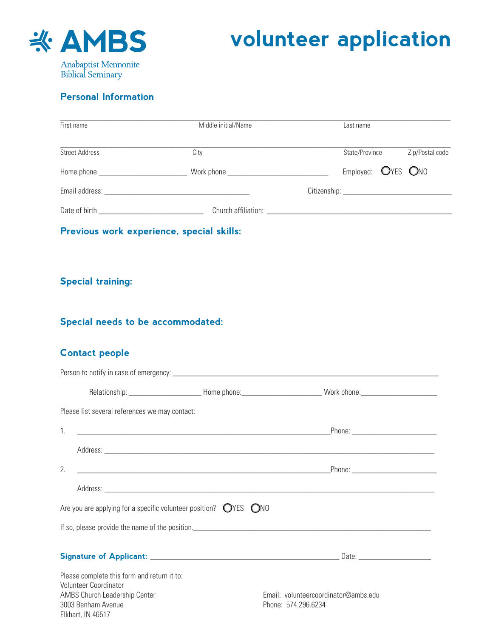

## **volunteer application**

## **Personal Information**

| First name     |                                                                          | Middle initial/Name                                                                                            |                                                             | Last name          |  |                 |
|----------------|--------------------------------------------------------------------------|----------------------------------------------------------------------------------------------------------------|-------------------------------------------------------------|--------------------|--|-----------------|
| Street Address |                                                                          | City                                                                                                           |                                                             | State/Province     |  | Zip/Postal code |
|                |                                                                          |                                                                                                                |                                                             | Employed: OYES ONO |  |                 |
|                |                                                                          |                                                                                                                |                                                             |                    |  |                 |
|                |                                                                          |                                                                                                                |                                                             |                    |  |                 |
|                |                                                                          | Previous work experience, special skills:                                                                      |                                                             |                    |  |                 |
|                |                                                                          |                                                                                                                |                                                             |                    |  |                 |
|                |                                                                          |                                                                                                                |                                                             |                    |  |                 |
|                | <b>Special training:</b>                                                 |                                                                                                                |                                                             |                    |  |                 |
|                |                                                                          |                                                                                                                |                                                             |                    |  |                 |
|                | Special needs to be accommodated:                                        |                                                                                                                |                                                             |                    |  |                 |
|                | <b>Contact people</b>                                                    |                                                                                                                |                                                             |                    |  |                 |
|                |                                                                          |                                                                                                                |                                                             |                    |  |                 |
|                |                                                                          | Relationship: _________________________Home phone: ___________________________Work phone: ____________________ |                                                             |                    |  |                 |
|                | Please list several references we may contact:                           |                                                                                                                |                                                             |                    |  |                 |
| 1.             |                                                                          |                                                                                                                |                                                             |                    |  |                 |
|                |                                                                          |                                                                                                                |                                                             |                    |  |                 |
| 2.             |                                                                          |                                                                                                                |                                                             |                    |  |                 |
|                |                                                                          |                                                                                                                |                                                             |                    |  |                 |
|                |                                                                          | Are you are applying for a specific volunteer position? $\bigcirc$ YES $\bigcirc$ NO                           |                                                             |                    |  |                 |
|                |                                                                          |                                                                                                                |                                                             |                    |  |                 |
|                |                                                                          |                                                                                                                |                                                             |                    |  |                 |
|                |                                                                          |                                                                                                                |                                                             |                    |  |                 |
|                | Please complete this form and return it to:<br>Volunteer Coordinator     |                                                                                                                |                                                             |                    |  |                 |
|                | AMBS Church Leadership Center<br>3003 Benham Avenue<br>Elkhart, IN 46517 |                                                                                                                | Email: volunteercoordinator@ambs.edu<br>Phone: 574.296.6234 |                    |  |                 |